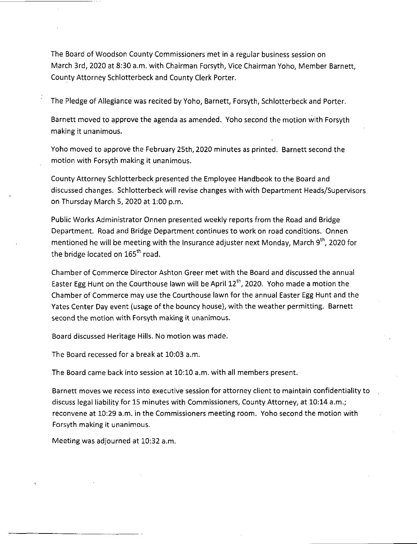The Board of Woodson County Commissioners met in <sup>a</sup> regular business session on March 3rd, 2020 at 8:30 a.m. with Chairman Forsyth, Vice Chairman Yoho, Member Barnett, County Attorney Schlotterbeck and County Clerk Porter.

The Pledge of Allegiance was recited by Yoho, Barnett, Forsyth, Schlotterbeck and Porter.

Barnett moved to approve the agenda as amended. Yoho second the motion with Forsyth making it unanimous.

Yoho moved to approve the February 25th, 2020 minutes as printed. Barnett second the motion with Forsyth making it unanimous.

County Attorney Schlotterbeck presented the Employee Handbook to the Board and discussed changes. Schlotterbeck will revise changes with with Department Heads/Supervisors on Thursday March 5, 2020 at 1:00 p.m.

Public Works Administrator Onnen presented weekly reports from the Road and Bridge Department. Road and Bridge Department continues to work on road conditions. Onnen mentioned he will be meeting with the Insurance adjuster next Monday, March  $9<sup>th</sup>$ , 2020 for the bridge located on  $165<sup>th</sup>$  road.

Chamber of Commerce Director Ashton Greer met with the Board and discussed the annual Easter Egg Hunt on the Courthouse lawn will be April  $12<sup>th</sup>$ , 2020. Yoho made a motion the Chamber of Commerce may use the Courthouse lawn for the annual Easter Egg Hunt and the Yates Center Day event (usage of the bouncy house), with the weather permitting. Barnett second the motion with Forsyth making it unanimous.

Board discussed Heritage Hills. No motion was made.

The Board recessed for <sup>a</sup> break at 10:03 a.m.

The Board came back into session at 10:10 a.m. with all members present.

Barnett moves we recess into executive session for attorney client to maintain confidentiality to discuss legal liability for 15 minutes with Commissioners, County Attorney, at 10:14 a.m.; reconvene at 10:29 a.m. in the Commissioners meeting room. Yoho second the motion with Forsyth making it unanimous.

Meeting was adjourned at 10:32 a.m.